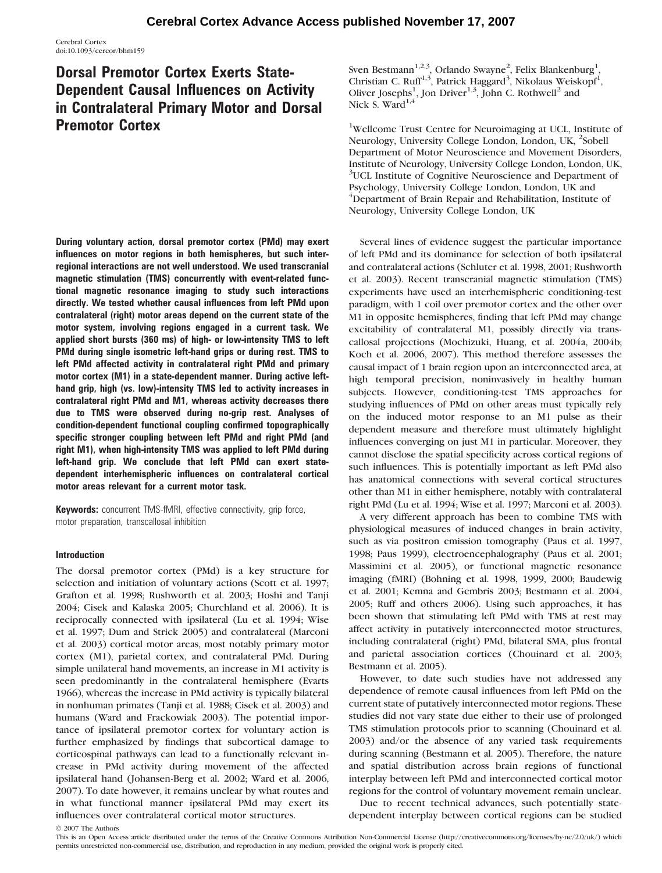Cerebral Cortex doi:10.1093/cercor/bhm159

# Dorsal Premotor Cortex Exerts State-Dependent Causal Influences on Activity in Contralateral Primary Motor and Dorsal Premotor Cortex

During voluntary action, dorsal premotor cortex (PMd) may exert influences on motor regions in both hemispheres, but such interregional interactions are not well understood. We used transcranial magnetic stimulation (TMS) concurrently with event-related functional magnetic resonance imaging to study such interactions directly. We tested whether causal influences from left PMd upon contralateral (right) motor areas depend on the current state of the motor system, involving regions engaged in a current task. We applied short bursts (360 ms) of high- or low-intensity TMS to left PMd during single isometric left-hand grips or during rest. TMS to left PMd affected activity in contralateral right PMd and primary motor cortex (M1) in a state-dependent manner. During active lefthand grip, high (vs. low)-intensity TMS led to activity increases in contralateral right PMd and M1, whereas activity decreases there due to TMS were observed during no-grip rest. Analyses of condition-dependent functional coupling confirmed topographically specific stronger coupling between left PMd and right PMd (and right M1), when high-intensity TMS was applied to left PMd during left-hand grip. We conclude that left PMd can exert statedependent interhemispheric influences on contralateral cortical motor areas relevant for a current motor task.

Keywords: concurrent TMS-fMRI, effective connectivity, grip force, motor preparation, transcallosal inhibition

# Introduction

The dorsal premotor cortex (PMd) is a key structure for selection and initiation of voluntary actions (Scott et al. 1997; Grafton et al. 1998; Rushworth et al. 2003; Hoshi and Tanji 2004; Cisek and Kalaska 2005; Churchland et al. 2006). It is reciprocally connected with ipsilateral (Lu et al. 1994; Wise et al. 1997; Dum and Strick 2005) and contralateral (Marconi et al. 2003) cortical motor areas, most notably primary motor cortex (M1), parietal cortex, and contralateral PMd. During simple unilateral hand movements, an increase in M1 activity is seen predominantly in the contralateral hemisphere (Evarts 1966), whereas the increase in PMd activity is typically bilateral in nonhuman primates (Tanji et al. 1988; Cisek et al. 2003) and humans (Ward and Frackowiak 2003). The potential importance of ipsilateral premotor cortex for voluntary action is further emphasized by findings that subcortical damage to corticospinal pathways can lead to a functionally relevant increase in PMd activity during movement of the affected ipsilateral hand (Johansen-Berg et al. 2002; Ward et al. 2006, 2007). To date however, it remains unclear by what routes and in what functional manner ipsilateral PMd may exert its influences over contralateral cortical motor structures.

Sven Bestmann $^{1,2,3}$ , Orlando Swayne<sup>2</sup>, Felix Blankenburg<sup>1</sup>, Christian C. Ruff<sup>1,3</sup>, Patrick Haggard<sup>3</sup>, Nikolaus Weiskopf<sup>1</sup>, Oliver Josephs<sup>1</sup>, Jon Driver<sup>1,3</sup>, John C. Rothwell<sup>2</sup> and Nick S. Ward<sup>1,4</sup>

<sup>1</sup>Wellcome Trust Centre for Neuroimaging at UCL, Institute of Neurology, University College London, London, UK, <sup>2</sup>Sobell Department of Motor Neuroscience and Movement Disorders, Institute of Neurology, University College London, London, UK, <sup>3</sup>UCL Institute of Cognitive Neuroscience and Department of Psychology, University College London, London, UK and <sup>4</sup>Department of Brain Repair and Rehabilitation, Institute of Neurology, University College London, UK

Several lines of evidence suggest the particular importance of left PMd and its dominance for selection of both ipsilateral and contralateral actions (Schluter et al. 1998, 2001; Rushworth et al. 2003). Recent transcranial magnetic stimulation (TMS) experiments have used an interhemispheric conditioning-test paradigm, with 1 coil over premotor cortex and the other over M1 in opposite hemispheres, finding that left PMd may change excitability of contralateral M1, possibly directly via transcallosal projections (Mochizuki, Huang, et al. 2004a, 2004b; Koch et al. 2006, 2007). This method therefore assesses the causal impact of 1 brain region upon an interconnected area, at high temporal precision, noninvasively in healthy human subjects. However, conditioning-test TMS approaches for studying influences of PMd on other areas must typically rely on the induced motor response to an M1 pulse as their dependent measure and therefore must ultimately highlight influences converging on just M1 in particular. Moreover, they cannot disclose the spatial specificity across cortical regions of such influences. This is potentially important as left PMd also has anatomical connections with several cortical structures other than M1 in either hemisphere, notably with contralateral right PMd (Lu et al. 1994; Wise et al. 1997; Marconi et al. 2003).

A very different approach has been to combine TMS with physiological measures of induced changes in brain activity, such as via positron emission tomography (Paus et al. 1997, 1998; Paus 1999), electroencephalography (Paus et al. 2001; Massimini et al. 2005), or functional magnetic resonance imaging (fMRI) (Bohning et al. 1998, 1999, 2000; Baudewig et al. 2001; Kemna and Gembris 2003; Bestmann et al. 2004, 2005; Ruff and others 2006). Using such approaches, it has been shown that stimulating left PMd with TMS at rest may affect activity in putatively interconnected motor structures, including contralateral (right) PMd, bilateral SMA, plus frontal and parietal association cortices (Chouinard et al. 2003; Bestmann et al. 2005).

However, to date such studies have not addressed any dependence of remote causal influences from left PMd on the current state of putatively interconnected motor regions. These studies did not vary state due either to their use of prolonged TMS stimulation protocols prior to scanning (Chouinard et al. 2003) and/or the absence of any varied task requirements during scanning (Bestmann et al. 2005). Therefore, the nature and spatial distribution across brain regions of functional interplay between left PMd and interconnected cortical motor regions for the control of voluntary movement remain unclear.

Due to recent technical advances, such potentially statedependent interplay between cortical regions can be studied

2007 The Authors

This is an Open Access article distributed under the terms of the Creative Commons Attribution Non-Commercial License (http://creativecommons.org/licenses/by-nc/2.0/uk/) which permits unrestricted non-commercial use, distribution, and reproduction in any medium, provided the original work is properly cited.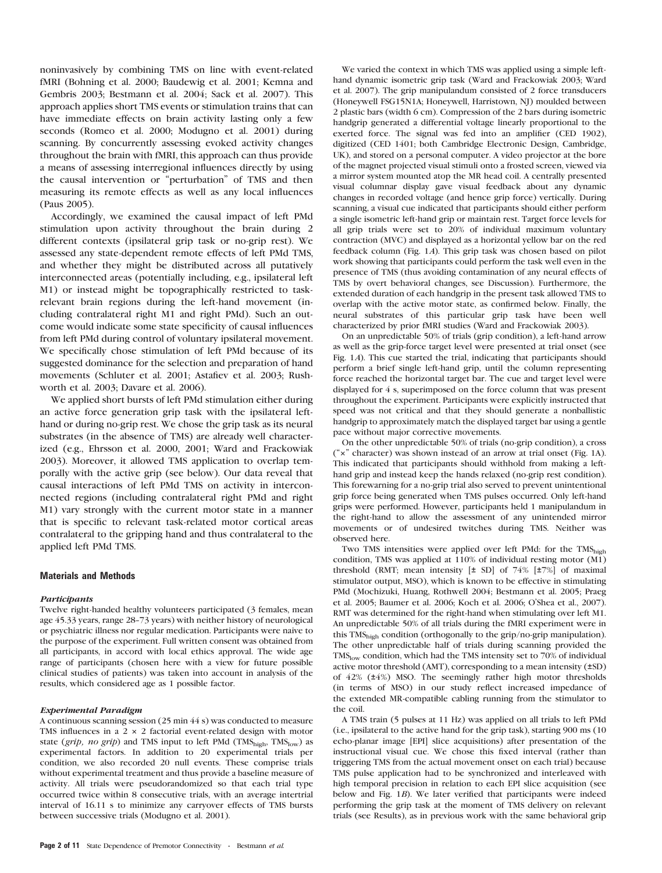noninvasively by combining TMS on line with event-related fMRI (Bohning et al. 2000; Baudewig et al. 2001; Kemna and Gembris 2003; Bestmann et al. 2004; Sack et al. 2007). This approach applies short TMS events or stimulation trains that can have immediate effects on brain activity lasting only a few seconds (Romeo et al. 2000; Modugno et al. 2001) during scanning. By concurrently assessing evoked activity changes throughout the brain with fMRI, this approach can thus provide a means of assessing interregional influences directly by using the causal intervention or ''perturbation'' of TMS and then measuring its remote effects as well as any local influences (Paus 2005).

Accordingly, we examined the causal impact of left PMd stimulation upon activity throughout the brain during 2 different contexts (ipsilateral grip task or no-grip rest). We assessed any state-dependent remote effects of left PMd TMS, and whether they might be distributed across all putatively interconnected areas (potentially including, e.g., ipsilateral left M1) or instead might be topographically restricted to taskrelevant brain regions during the left-hand movement (including contralateral right M1 and right PMd). Such an outcome would indicate some state specificity of causal influences from left PMd during control of voluntary ipsilateral movement. We specifically chose stimulation of left PMd because of its suggested dominance for the selection and preparation of hand movements (Schluter et al. 2001; Astafiev et al. 2003; Rushworth et al. 2003; Davare et al. 2006).

We applied short bursts of left PMd stimulation either during an active force generation grip task with the ipsilateral lefthand or during no-grip rest. We chose the grip task as its neural substrates (in the absence of TMS) are already well characterized (e.g., Ehrsson et al. 2000, 2001; Ward and Frackowiak 2003). Moreover, it allowed TMS application to overlap temporally with the active grip (see below). Our data reveal that causal interactions of left PMd TMS on activity in interconnected regions (including contralateral right PMd and right M1) vary strongly with the current motor state in a manner that is specific to relevant task-related motor cortical areas contralateral to the gripping hand and thus contralateral to the applied left PMd TMS.

## Materials and Methods

#### **Participants**

Twelve right-handed healthy volunteers participated (3 females, mean age 45.33 years, range 28-73 years) with neither history of neurological or psychiatric illness nor regular medication. Participants were naive to the purpose of the experiment. Full written consent was obtained from all participants, in accord with local ethics approval. The wide age range of participants (chosen here with a view for future possible clinical studies of patients) was taken into account in analysis of the results, which considered age as 1 possible factor.

## Experimental Paradigm

A continuous scanning session (25 min 44 s) was conducted to measure TMS influences in a  $2 \times 2$  factorial event-related design with motor state (grip, no grip) and TMS input to left PMd (TMS $_{\text{high}}$ , TMS $_{\text{low}}$ ) as experimental factors. In addition to 20 experimental trials per condition, we also recorded 20 null events. These comprise trials without experimental treatment and thus provide a baseline measure of activity. All trials were pseudorandomized so that each trial type occurred twice within 8 consecutive trials, with an average intertrial interval of 16.11 s to minimize any carryover effects of TMS bursts between successive trials (Modugno et al. 2001).

We varied the context in which TMS was applied using a simple lefthand dynamic isometric grip task (Ward and Frackowiak 2003; Ward et al. 2007). The grip manipulandum consisted of 2 force transducers (Honeywell FSG15N1A; Honeywell, Harristown, NJ) moulded between 2 plastic bars (width 6 cm). Compression of the 2 bars during isometric handgrip generated a differential voltage linearly proportional to the exerted force. The signal was fed into an amplifier (CED 1902), digitized (CED 1401; both Cambridge Electronic Design, Cambridge, UK), and stored on a personal computer. A video projector at the bore of the magnet projected visual stimuli onto a frosted screen, viewed via a mirror system mounted atop the MR head coil. A centrally presented visual columnar display gave visual feedback about any dynamic changes in recorded voltage (and hence grip force) vertically. During scanning, a visual cue indicated that participants should either perform a single isometric left-hand grip or maintain rest. Target force levels for all grip trials were set to 20% of individual maximum voluntary contraction (MVC) and displayed as a horizontal yellow bar on the red feedback column (Fig. 1A). This grip task was chosen based on pilot work showing that participants could perform the task well even in the presence of TMS (thus avoiding contamination of any neural effects of TMS by overt behavioral changes, see Discussion). Furthermore, the extended duration of each handgrip in the present task allowed TMS to overlap with the active motor state, as confirmed below. Finally, the neural substrates of this particular grip task have been well characterized by prior fMRI studies (Ward and Frackowiak 2003).

On an unpredictable 50% of trials (grip condition), a left-hand arrow as well as the grip-force target level were presented at trial onset (see Fig. 1A). This cue started the trial, indicating that participants should perform a brief single left-hand grip, until the column representing force reached the horizontal target bar. The cue and target level were displayed for 4 s, superimposed on the force column that was present throughout the experiment. Participants were explicitly instructed that speed was not critical and that they should generate a nonballistic handgrip to approximately match the displayed target bar using a gentle pace without major corrective movements.

On the other unpredictable 50% of trials (no-grip condition), a cross (''3'' character) was shown instead of an arrow at trial onset (Fig. 1A). This indicated that participants should withhold from making a lefthand grip and instead keep the hands relaxed (no-grip rest condition). This forewarning for a no-grip trial also served to prevent unintentional grip force being generated when TMS pulses occurred. Only left-hand grips were performed. However, participants held 1 manipulandum in the right-hand to allow the assessment of any unintended mirror movements or of undesired twitches during TMS. Neither was observed here.

Two TMS intensities were applied over left PMd: for the TMS<sub>high</sub> condition, TMS was applied at 110% of individual resting motor (M1) threshold (RMT; mean intensity  $[\pm S_D]$  of 74%  $[\pm 7\%]$  of maximal stimulator output, MSO), which is known to be effective in stimulating PMd (Mochizuki, Huang, Rothwell 2004; Bestmann et al. 2005; Praeg et al. 2005; Baumer et al. 2006; Koch et al. 2006; O'Shea et al., 2007). RMT was determined for the right-hand when stimulating over left M1. An unpredictable 50% of all trials during the fMRI experiment were in this TMS<sub>high</sub> condition (orthogonally to the grip/no-grip manipulation). The other unpredictable half of trials during scanning provided the  $TMS<sub>low</sub>$  condition, which had the TMS intensity set to 70% of individual active motor threshold (AMT), corresponding to a mean intensity (±SD) of 42% (±4%) MSO. The seemingly rather high motor thresholds (in terms of MSO) in our study reflect increased impedance of the extended MR-compatible cabling running from the stimulator to the coil.

A TMS train (5 pulses at 11 Hz) was applied on all trials to left PMd (i.e., ipsilateral to the active hand for the grip task), starting 900 ms (10 echo-planar image [EPI] slice acquisitions) after presentation of the instructional visual cue. We chose this fixed interval (rather than triggering TMS from the actual movement onset on each trial) because TMS pulse application had to be synchronized and interleaved with high temporal precision in relation to each EPI slice acquisition (see below and Fig. 1B). We later verified that participants were indeed performing the grip task at the moment of TMS delivery on relevant trials (see Results), as in previous work with the same behavioral grip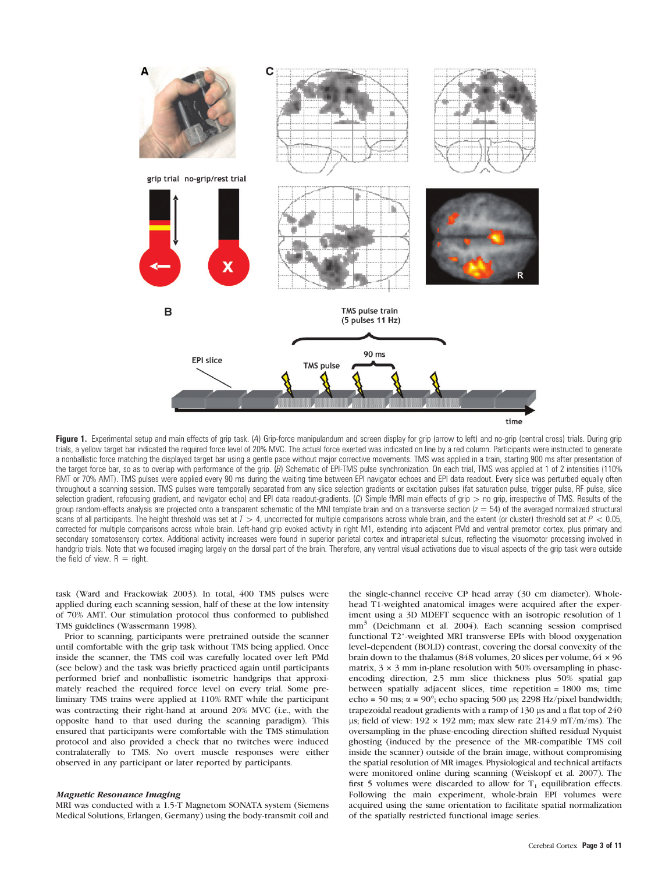

Figure 1. Experimental setup and main effects of grip task. (A) Grip-force manipulandum and screen display for grip (arrow to left) and no-grip (central cross) trials. During grip trials, a yellow target bar indicated the required force level of 20% MVC. The actual force exerted was indicated on line by a red column. Participants were instructed to generate a nonballistic force matching the displayed target bar using a gentle pace without major corrective movements. TMS was applied in a train, starting 900 ms after presentation of the target force bar, so as to overlap with performance of the grip. (B) Schematic of EPI-TMS pulse synchronization. On each trial, TMS was applied at 1 of 2 intensities (110%) RMT or 70% AMT). TMS pulses were applied every 90 ms during the waiting time between EPI navigator echoes and EPI data readout. Every slice was perturbed equally often throughout a scanning session. TMS pulses were temporally separated from any slice selection gradients or excitation pulses (fat saturation pulse, trigger pulse, RF pulse, slice selection gradient, refocusing gradient, and navigator echo) and EPI data readout-gradients. (C) Simple fMRI main effects of grip  $>$  no grip, irrespective of TMS. Results of the group random-effects analysis are projected onto a transparent schematic of the MNI template brain and on a transverse section  $(z = 54)$  of the averaged normalized structural scans of all participants. The height threshold was set at  $T > 4$ , uncorrected for multiple comparisons across whole brain, and the extent (or cluster) threshold set at  $P < 0.05$ , corrected for multiple comparisons across whole brain. Left-hand grip evoked activity in right M1, extending into adjacent PMd and ventral premotor cortex, plus primary and secondary somatosensory cortex. Additional activity increases were found in superior parietal cortex and intraparietal sulcus, reflecting the visuomotor processing involved in handgrip trials. Note that we focused imaging largely on the dorsal part of the brain. Therefore, any ventral visual activations due to visual aspects of the grip task were outside the field of view.  $R =$  right.

task (Ward and Frackowiak 2003). In total, 400 TMS pulses were applied during each scanning session, half of these at the low intensity of 70% AMT. Our stimulation protocol thus conformed to published TMS guidelines (Wassermann 1998).

Prior to scanning, participants were pretrained outside the scanner until comfortable with the grip task without TMS being applied. Once inside the scanner, the TMS coil was carefully located over left PMd (see below) and the task was briefly practiced again until participants performed brief and nonballistic isometric handgrips that approximately reached the required force level on every trial. Some preliminary TMS trains were applied at 110% RMT while the participant was contracting their right-hand at around 20% MVC (i.e., with the opposite hand to that used during the scanning paradigm). This ensured that participants were comfortable with the TMS stimulation protocol and also provided a check that no twitches were induced contralaterally to TMS. No overt muscle responses were either observed in any participant or later reported by participants.

### Magnetic Resonance Imaging

MRI was conducted with a 1.5-T Magnetom SONATA system (Siemens Medical Solutions, Erlangen, Germany) using the body-transmit coil and

the single-channel receive CP head array (30 cm diameter). Wholehead T1-weighted anatomical images were acquired after the experiment using a 3D MDEFT sequence with an isotropic resolution of 1 mm3 (Deichmann et al. 2004). Each scanning session comprised functional T2\*-weighted MRI transverse EPIs with blood oxygenation level--dependent (BOLD) contrast, covering the dorsal convexity of the brain down to the thalamus (848 volumes, 20 slices per volume,  $64 \times 96$ matrix,  $3 \times 3$  mm in-plane resolution with 50% oversampling in phaseencoding direction, 2.5 mm slice thickness plus 50% spatial gap between spatially adjacent slices, time repetition = 1800 ms; time echo = 50 ms;  $\alpha$  = 90°; echo spacing 500 µs; 2298 Hz/pixel bandwidth; trapezoidal readout gradients with a ramp of  $130 \,\mu s$  and a flat top of  $240$ µs; field of view:  $192 \times 192$  mm; max slew rate 214.9 mT/m/ms). The oversampling in the phase-encoding direction shifted residual Nyquist ghosting (induced by the presence of the MR-compatible TMS coil inside the scanner) outside of the brain image, without compromising the spatial resolution of MR images. Physiological and technical artifacts were monitored online during scanning (Weiskopf et al. 2007). The first 5 volumes were discarded to allow for  $T_1$  equilibration effects. Following the main experiment, whole-brain EPI volumes were acquired using the same orientation to facilitate spatial normalization of the spatially restricted functional image series.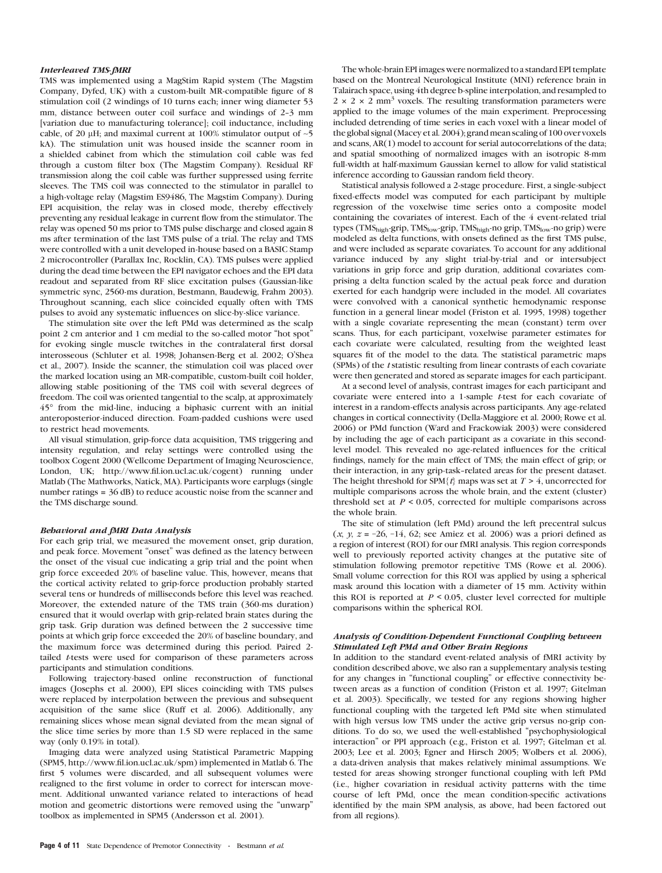#### Interleaved TMS-fMRI

TMS was implemented using a MagStim Rapid system (The Magstim Company, Dyfed, UK) with a custom-built MR-compatible figure of 8 stimulation coil (2 windings of 10 turns each; inner wing diameter 53 mm, distance between outer coil surface and windings of 2-3 mm [variation due to manufacturing tolerance]; coil inductance, including cable, of 20  $\mu$ H; and maximal current at 100% stimulator output of  $\sim$  5 kA). The stimulation unit was housed inside the scanner room in a shielded cabinet from which the stimulation coil cable was fed through a custom filter box (The Magstim Company). Residual RF transmission along the coil cable was further suppressed using ferrite sleeves. The TMS coil was connected to the stimulator in parallel to a high-voltage relay (Magstim ES9486, The Magstim Company). During EPI acquisition, the relay was in closed mode, thereby effectively preventing any residual leakage in current flow from the stimulator. The relay was opened 50 ms prior to TMS pulse discharge and closed again 8 ms after termination of the last TMS pulse of a trial. The relay and TMS were controlled with a unit developed in-house based on a BASIC Stamp 2 microcontroller (Parallax Inc, Rocklin, CA). TMS pulses were applied during the dead time between the EPI navigator echoes and the EPI data readout and separated from RF slice excitation pulses (Gaussian-like symmetric sync, 2560-ms duration, Bestmann, Baudewig, Frahm 2003). Throughout scanning, each slice coincided equally often with TMS pulses to avoid any systematic influences on slice-by-slice variance.

The stimulation site over the left PMd was determined as the scalp point 2 cm anterior and 1 cm medial to the so-called motor ''hot spot'' for evoking single muscle twitches in the contralateral first dorsal interosseous (Schluter et al. 1998; Johansen-Berg et al. 2002; O'Shea et al., 2007). Inside the scanner, the stimulation coil was placed over the marked location using an MR-compatible, custom-built coil holder, allowing stable positioning of the TMS coil with several degrees of freedom. The coil was oriented tangential to the scalp, at approximately 45° from the mid-line, inducing a biphasic current with an initial anteroposterior-induced direction. Foam-padded cushions were used to restrict head movements.

All visual stimulation, grip-force data acquisition, TMS triggering and intensity regulation, and relay settings were controlled using the toolbox Cogent 2000 (Wellcome Department of Imaging Neuroscience, London, UK; http://www.fil.ion.ucl.ac.uk/cogent) running under Matlab (The Mathworks, Natick, MA). Participants wore earplugs (single number ratings = 36 dB) to reduce acoustic noise from the scanner and the TMS discharge sound.

# Behavioral and fMRI Data Analysis

For each grip trial, we measured the movement onset, grip duration, and peak force. Movement "onset" was defined as the latency between the onset of the visual cue indicating a grip trial and the point when grip force exceeded 20% of baseline value. This, however, means that the cortical activity related to grip-force production probably started several tens or hundreds of milliseconds before this level was reached. Moreover, the extended nature of the TMS train (360-ms duration) ensured that it would overlap with grip-related brain states during the grip task. Grip duration was defined between the 2 successive time points at which grip force exceeded the 20% of baseline boundary, and the maximum force was determined during this period. Paired 2 tailed *t*-tests were used for comparison of these parameters across participants and stimulation conditions.

Following trajectory-based online reconstruction of functional images (Josephs et al. 2000), EPI slices coinciding with TMS pulses were replaced by interpolation between the previous and subsequent acquisition of the same slice (Ruff et al. 2006). Additionally, any remaining slices whose mean signal deviated from the mean signal of the slice time series by more than 1.5 SD were replaced in the same way (only 0.19% in total).

Imaging data were analyzed using Statistical Parametric Mapping (SPM5, http://www.fil.ion.ucl.ac.uk/spm) implemented in Matlab 6. The first 5 volumes were discarded, and all subsequent volumes were realigned to the first volume in order to correct for interscan movement. Additional unwanted variance related to interactions of head motion and geometric distortions were removed using the ''unwarp'' toolbox as implemented in SPM5 (Andersson et al. 2001).

The whole-brain EPI images were normalized to a standard EPI template based on the Montreal Neurological Institute (MNI) reference brain in Talairach space, using 4th degree b-spline interpolation, and resampled to  $2 \times 2 \times 2$  mm<sup>3</sup> voxels. The resulting transformation parameters were applied to the image volumes of the main experiment. Preprocessing included detrending of time series in each voxel with a linear model of the global signal (Macey et al. 2004); grand mean scaling of 100 over voxels and scans, AR(1) model to account for serial autocorrelations of the data; and spatial smoothing of normalized images with an isotropic 8-mm full-width at half-maximum Gaussian kernel to allow for valid statistical inference according to Gaussian random field theory.

Statistical analysis followed a 2-stage procedure. First, a single-subject fixed-effects model was computed for each participant by multiple regression of the voxelwise time series onto a composite model containing the covariates of interest. Each of the 4 event-related trial types (TMS<sub>high</sub>-grip, TMS<sub>low</sub>-grip, TMS<sub>high</sub>-no grip, TMS<sub>low</sub>-no grip) were modeled as delta functions, with onsets defined as the first TMS pulse, and were included as separate covariates. To account for any additional variance induced by any slight trial-by-trial and or intersubject variations in grip force and grip duration, additional covariates comprising a delta function scaled by the actual peak force and duration exerted for each handgrip were included in the model. All covariates were convolved with a canonical synthetic hemodynamic response function in a general linear model (Friston et al. 1995, 1998) together with a single covariate representing the mean (constant) term over scans. Thus, for each participant, voxelwise parameter estimates for each covariate were calculated, resulting from the weighted least squares fit of the model to the data. The statistical parametric maps (SPMs) of the t statistic resulting from linear contrasts of each covariate were then generated and stored as separate images for each participant.

At a second level of analysis, contrast images for each participant and covariate were entered into a 1-sample t-test for each covariate of interest in a random-effects analysis across participants. Any age-related changes in cortical connectivity (Della-Maggiore et al. 2000; Rowe et al. 2006) or PMd function (Ward and Frackowiak 2003) were considered by including the age of each participant as a covariate in this secondlevel model. This revealed no age-related influences for the critical findings, namely for the main effect of TMS; the main effect of grip; or their interaction, in any grip-task--related areas for the present dataset. The height threshold for SPM $\{t\}$  maps was set at  $T > 4$ , uncorrected for multiple comparisons across the whole brain, and the extent (cluster) threshold set at  $P < 0.05$ , corrected for multiple comparisons across the whole brain.

The site of stimulation (left PMd) around the left precentral sulcus  $(x, y, z = -26, -14, 62$ ; see Amiez et al. 2006) was a priori defined as a region of interest (ROI) for our fMRI analysis. This region corresponds well to previously reported activity changes at the putative site of stimulation following premotor repetitive TMS (Rowe et al. 2006). Small volume correction for this ROI was applied by using a spherical mask around this location with a diameter of 15 mm. Activity within this ROI is reported at  $P \le 0.05$ , cluster level corrected for multiple comparisons within the spherical ROI.

### Analysis of Condition-Dependent Functional Coupling between Stimulated Left PMd and Other Brain Regions

In addition to the standard event-related analysis of fMRI activity by condition described above, we also ran a supplementary analysis testing for any changes in ''functional coupling'' or effective connectivity between areas as a function of condition (Friston et al. 1997; Gitelman et al. 2003). Specifically, we tested for any regions showing higher functional coupling with the targeted left PMd site when stimulated with high versus low TMS under the active grip versus no-grip conditions. To do so, we used the well-established ''psychophysiological interaction'' or PPI approach (e.g., Friston et al. 1997; Gitelman et al. 2003; Lee et al. 2003; Egner and Hirsch 2005; Wolbers et al. 2006), a data-driven analysis that makes relatively minimal assumptions. We tested for areas showing stronger functional coupling with left PMd (i.e., higher covariation in residual activity patterns with the time course of left PMd, once the mean condition-specific activations identified by the main SPM analysis, as above, had been factored out from all regions).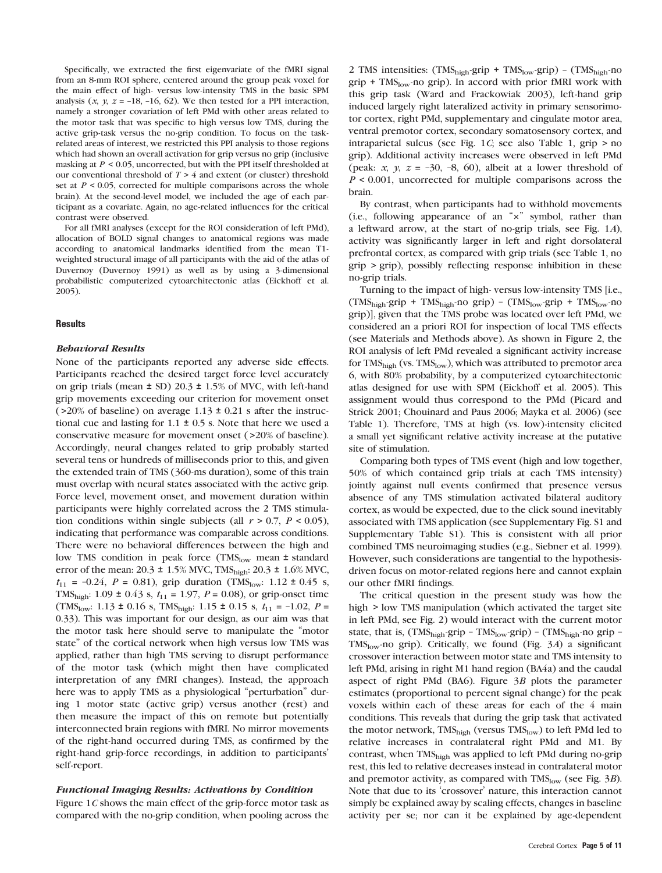Specifically, we extracted the first eigenvariate of the fMRI signal from an 8-mm ROI sphere, centered around the group peak voxel for the main effect of high- versus low-intensity TMS in the basic SPM analysis  $(x, y, z = -18, -16, 62)$ . We then tested for a PPI interaction, namely a stronger covariation of left PMd with other areas related to the motor task that was specific to high versus low TMS, during the active grip-task versus the no-grip condition. To focus on the taskrelated areas of interest, we restricted this PPI analysis to those regions which had shown an overall activation for grip versus no grip (inclusive masking at  $P \leq 0.05$ , uncorrected, but with the PPI itself thresholded at our conventional threshold of  $T \geq 4$  and extent (or cluster) threshold set at  $P < 0.05$ , corrected for multiple comparisons across the whole brain). At the second-level model, we included the age of each participant as a covariate. Again, no age-related influences for the critical contrast were observed.

For all fMRI analyses (except for the ROI consideration of left PMd), allocation of BOLD signal changes to anatomical regions was made according to anatomical landmarks identified from the mean T1 weighted structural image of all participants with the aid of the atlas of Duvernoy (Duvernoy 1991) as well as by using a 3-dimensional probabilistic computerized cytoarchitectonic atlas (Eickhoff et al. 2005).

## **Results**

# Behavioral Results

None of the participants reported any adverse side effects. Participants reached the desired target force level accurately on grip trials (mean ± SD) 20.3 ± 1.5% of MVC, with left-hand grip movements exceeding our criterion for movement onset ( $>20\%$  of baseline) on average 1.13  $\pm$  0.21 s after the instructional cue and lasting for  $1.1 \pm 0.5$  s. Note that here we used a conservative measure for movement onset (>20% of baseline). Accordingly, neural changes related to grip probably started several tens or hundreds of milliseconds prior to this, and given the extended train of TMS (360-ms duration), some of this train must overlap with neural states associated with the active grip. Force level, movement onset, and movement duration within participants were highly correlated across the 2 TMS stimulation conditions within single subjects (all  $r > 0.7$ ,  $P < 0.05$ ), indicating that performance was comparable across conditions. There were no behavioral differences between the high and low TMS condition in peak force (TMS $_{\text{low}}$  mean  $\pm$  standard error of the mean:  $20.3 \pm 1.5\%$  MVC, TMS<sub>high</sub>:  $20.3 \pm 1.6\%$  MVC,  $t_{11}$  = -0.24, P = 0.81), grip duration (TMS<sub>low</sub>: 1.12 ± 0.45 s, TMS<sub>high</sub>: 1.09 ± 0.43 s,  $t_{11}$  = 1.97,  $P = 0.08$ ), or grip-onset time (TMS<sub>low</sub>: 1.13 ± 0.16 s, TMS<sub>high</sub>: 1.15 ± 0.15 s,  $t_{11} = -1.02$ ,  $P =$ 0.33). This was important for our design, as our aim was that the motor task here should serve to manipulate the ''motor state'' of the cortical network when high versus low TMS was applied, rather than high TMS serving to disrupt performance of the motor task (which might then have complicated interpretation of any fMRI changes). Instead, the approach here was to apply TMS as a physiological "perturbation" during 1 motor state (active grip) versus another (rest) and then measure the impact of this on remote but potentially interconnected brain regions with fMRI. No mirror movements of the right-hand occurred during TMS, as confirmed by the right-hand grip-force recordings, in addition to participants' self-report.

### Functional Imaging Results: Activations by Condition

Figure 1C shows the main effect of the grip-force motor task as compared with the no-grip condition, when pooling across the 2 TMS intensities:  $(TMS<sub>high</sub>-grip + TMS<sub>low</sub>-grip) - (TMS<sub>high</sub>-no$ grip + TMS<sub>low</sub>-no grip). In accord with prior fMRI work with this grip task (Ward and Frackowiak 2003), left-hand grip induced largely right lateralized activity in primary sensorimotor cortex, right PMd, supplementary and cingulate motor area, ventral premotor cortex, secondary somatosensory cortex, and intraparietal sulcus (see Fig. 1C; see also Table 1, grip > no grip). Additional activity increases were observed in left PMd (peak: x, y,  $z = -30, -8, 60$ ), albeit at a lower threshold of  $P \leq 0.001$ , uncorrected for multiple comparisons across the brain.

By contrast, when participants had to withhold movements (i.e., following appearance of an  $x^*$  symbol, rather than a leftward arrow, at the start of no-grip trials, see Fig. 1A), activity was significantly larger in left and right dorsolateral prefrontal cortex, as compared with grip trials (see Table 1, no grip > grip), possibly reflecting response inhibition in these no-grip trials.

Turning to the impact of high- versus low-intensity TMS [i.e., (TMShigh-grip + TMShigh-no grip) – (TMSlow-grip + TMSlow-no grip)], given that the TMS probe was located over left PMd, we considered an a priori ROI for inspection of local TMS effects (see Materials and Methods above). As shown in Figure 2, the ROI analysis of left PMd revealed a significant activity increase for  $TMS<sub>high</sub>$  (vs.  $TMS<sub>low</sub>$ ), which was attributed to premotor area 6, with 80% probability, by a computerized cytoarchitectonic atlas designed for use with SPM (Eickhoff et al. 2005). This assignment would thus correspond to the PMd (Picard and Strick 2001; Chouinard and Paus 2006; Mayka et al. 2006) (see Table 1). Therefore, TMS at high (vs. low)-intensity elicited a small yet significant relative activity increase at the putative site of stimulation.

Comparing both types of TMS event (high and low together, 50% of which contained grip trials at each TMS intensity) jointly against null events confirmed that presence versus absence of any TMS stimulation activated bilateral auditory cortex, as would be expected, due to the click sound inevitably associated with TMS application (see Supplementary Fig. S1 and Supplementary Table S1). This is consistent with all prior combined TMS neuroimaging studies (e.g., Siebner et al. 1999). However, such considerations are tangential to the hypothesisdriven focus on motor-related regions here and cannot explain our other fMRI findings.

The critical question in the present study was how the high > low TMS manipulation (which activated the target site in left PMd, see Fig. 2) would interact with the current motor state, that is,  $(TMS<sub>high</sub>-grip - TMS<sub>low</sub>-grip) - (TMS<sub>high</sub>-no grip TMS<sub>low</sub>$ -no grip). Critically, we found (Fig. 3A) a significant crossover interaction between motor state and TMS intensity to left PMd, arising in right M1 hand region (BA4a) and the caudal aspect of right PMd (BA6). Figure  $3B$  plots the parameter estimates (proportional to percent signal change) for the peak voxels within each of these areas for each of the 4 main conditions. This reveals that during the grip task that activated the motor network,  $TMS<sub>high</sub>$  (versus  $TMS<sub>low</sub>$ ) to left PMd led to relative increases in contralateral right PMd and M1. By contrast, when TMShigh was applied to left PMd during no-grip rest, this led to relative decreases instead in contralateral motor and premotor activity, as compared with  $TMS_{low}$  (see Fig. 3B). Note that due to its 'crossover' nature, this interaction cannot simply be explained away by scaling effects, changes in baseline activity per se; nor can it be explained by age-dependent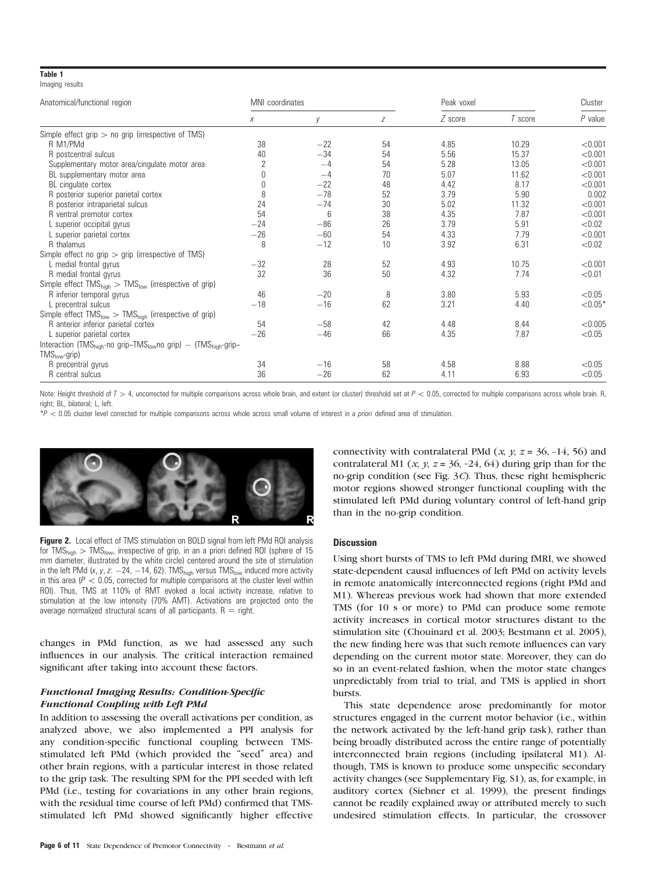# Table 1

| Imaging results |  |
|-----------------|--|
|                 |  |

| Anatomical/functional region                                                                        | MNI coordinates |       |    | Peak voxel |         | Cluster   |  |
|-----------------------------------------------------------------------------------------------------|-----------------|-------|----|------------|---------|-----------|--|
|                                                                                                     | X               | V     | Z  | Z score    | T score | $P$ value |  |
| Simple effect grip $>$ no grip (irrespective of TMS)                                                |                 |       |    |            |         |           |  |
| R M1/PMd                                                                                            | 38              | $-22$ | 54 | 4.85       | 10.29   | < 0.001   |  |
| R postcentral sulcus                                                                                | 40              | $-34$ | 54 | 5.56       | 15.37   | < 0.001   |  |
| Supplementary motor area/cingulate motor area                                                       | 2               | $-4$  | 54 | 5.28       | 13.05   | < 0.001   |  |
| BL supplementary motor area                                                                         |                 | $-4$  | 70 | 5.07       | 11.62   | < 0.001   |  |
| BL cingulate cortex                                                                                 | 0               | $-22$ | 48 | 4.42       | 8.17    | < 0.001   |  |
| R posterior superior parietal cortex                                                                | 8               | $-78$ | 52 | 3.79       | 5.90    | 0.002     |  |
| R posterior intraparietal sulcus                                                                    | 24              | $-74$ | 30 | 5.02       | 11.32   | < 0.001   |  |
| R ventral premotor cortex                                                                           | 54              | 6     | 38 | 4.35       | 7.87    | < 0.001   |  |
| L superior occipital gyrus                                                                          | $-24$           | $-86$ | 26 | 3.79       | 5.91    | < 0.02    |  |
| L superior parietal cortex                                                                          | $-26$           | $-60$ | 54 | 4.33       | 7.79    | < 0.001   |  |
| R thalamus                                                                                          | 8               | $-12$ | 10 | 3.92       | 6.31    | < 0.02    |  |
| Simple effect no grip $>$ grip (irrespective of TMS)                                                |                 |       |    |            |         |           |  |
| L medial frontal gyrus                                                                              | $-32$           | 28    | 52 | 4.93       | 10.75   | < 0.001   |  |
| R medial frontal gyrus                                                                              | 32              | 36    | 50 | 4.32       | 7.74    | < 0.01    |  |
| Simple effect $TMS_{\text{hidh}} > TMS_{\text{low}}$ (irrespective of grip)                         |                 |       |    |            |         |           |  |
| R inferior temporal gyrus                                                                           | 46              | $-20$ | 8  | 3.80       | 5.93    | < 0.05    |  |
| L precentral sulcus                                                                                 | $-18$           | $-16$ | 62 | 3.21       | 4.40    | $< 0.05*$ |  |
| Simple effect $TMS_{low} > TMS_{high}$ (irrespective of grip)                                       |                 |       |    |            |         |           |  |
| R anterior inferior parietal cortex                                                                 | 54              | $-58$ | 42 | 4.48       | 8.44    | < 0.005   |  |
| L superior parietal cortex                                                                          | $-26$           | $-46$ | 66 | 4.35       | 7.87    | < 0.05    |  |
| Interaction (TMS <sub>high</sub> -no grip-TMS <sub>low</sub> no grip) - (TMS <sub>high</sub> -grip- |                 |       |    |            |         |           |  |
| $TMSlow-grip)$                                                                                      |                 |       |    |            |         |           |  |
| R precentral gyrus                                                                                  | 34              | $-16$ | 58 | 4.58       | 8.88    | < 0.05    |  |
| R central sulcus                                                                                    | 36              | $-26$ | 62 | 4.11       | 6.93    | < 0.05    |  |

Note: Height threshold of  $T > 4$ , uncorrected for multiple comparisons across whole brain, and extent (or cluster) threshold set at  $P < 0.05$ , corrected for multiple comparisons across whole brain. R, right; BL, bilateral; L, left.

 $*P < 0.05$  cluster level corrected for multiple comparisons across whole across small volume of interest in a priori defined area of stimulation.



Figure 2. Local effect of TMS stimulation on BOLD signal from left PMd ROI analysis for  $TMS_{high}$   $> TMS_{low}$ , irrespective of grip, in an a priori defined ROI (sphere of 15 mm diameter, illustrated by the white circle) centered around the site of stimulation in the left PMd  $(x, y, z: -24, -14, 62)$ . TMS<sub>high</sub> versus TMS<sub>low</sub> induced more activity in this area ( $P < 0.05$ , corrected for multiple comparisons at the cluster level within ROI). Thus, TMS at 110% of RMT evoked a local activity increase, relative to stimulation at the low intensity (70% AMT). Activations are projected onto the average normalized structural scans of all participants.  $R = right$ .

changes in PMd function, as we had assessed any such influences in our analysis. The critical interaction remained significant after taking into account these factors.

# Functional Imaging Results: Condition-Specific Functional Coupling with Left PMd

In addition to assessing the overall activations per condition, as analyzed above, we also implemented a PPI analysis for any condition-specific functional coupling between TMSstimulated left PMd (which provided the "seed" area) and other brain regions, with a particular interest in those related to the grip task. The resulting SPM for the PPI seeded with left PMd (i.e., testing for covariations in any other brain regions, with the residual time course of left PMd) confirmed that TMSstimulated left PMd showed significantly higher effective connectivity with contralateral PMd  $(x, y, z = 36, -14, 56)$  and contralateral M1 (x, y,  $z = 36, -24, 64$ ) during grip than for the no-grip condition (see Fig. 3C). Thus, these right hemispheric motor regions showed stronger functional coupling with the stimulated left PMd during voluntary control of left-hand grip than in the no-grip condition.

# **Discussion**

Using short bursts of TMS to left PMd during fMRI, we showed state-dependent causal influences of left PMd on activity levels in remote anatomically interconnected regions (right PMd and M1). Whereas previous work had shown that more extended TMS (for 10 s or more) to PMd can produce some remote activity increases in cortical motor structures distant to the stimulation site (Chouinard et al. 2003; Bestmann et al. 2005), the new finding here was that such remote influences can vary depending on the current motor state. Moreover, they can do so in an event-related fashion, when the motor state changes unpredictably from trial to trial, and TMS is applied in short bursts.

This state dependence arose predominantly for motor structures engaged in the current motor behavior (i.e., within the network activated by the left-hand grip task), rather than being broadly distributed across the entire range of potentially interconnected brain regions (including ipsilateral M1). Although, TMS is known to produce some unspecific secondary activity changes (see Supplementary Fig. S1), as, for example, in auditory cortex (Siebner et al. 1999), the present findings cannot be readily explained away or attributed merely to such undesired stimulation effects. In particular, the crossover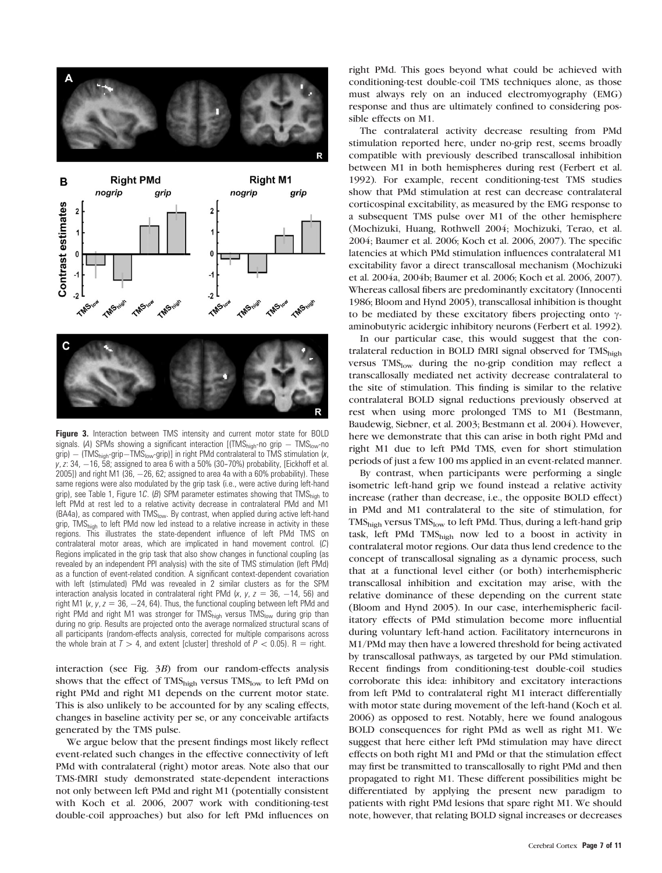

Figure 3. Interaction between TMS intensity and current motor state for BOLD signals. (A) SPMs showing a significant interaction  $[(TMS_{high} - no)$  grip  $-TMS_{low} - no$ grip)  $-$  (TMS<sub>high</sub>-grip-TMS<sub>low</sub>-grip)] in right PMd contralateral to TMS stimulation  $(x,$  $y$ , z: 34,  $-16$ , 58; assigned to area 6 with a 50% (30-70%) probability, [Eickhoff et al. 2005]) and right M1 (36,  $-26$ , 62; assigned to area 4a with a 60% probability). These same regions were also modulated by the grip task (i.e., were active during left-hand grip), see Table 1, Figure 1C. (B) SPM parameter estimates showing that TMS $_{\text{high}}$  to left PMd at rest led to a relative activity decrease in contralateral PMd and M1 (BA4a), as compared with TMS<sub>low</sub>. By contrast, when applied during active left-hand grip, TMS<sub>high</sub> to left PMd now led instead to a relative increase in activity in these regions. This illustrates the state-dependent influence of left PMd TMS on contralateral motor areas, which are implicated in hand movement control. (C) Regions implicated in the grip task that also show changes in functional coupling (as revealed by an independent PPI analysis) with the site of TMS stimulation (left PMd) as a function of event-related condition. A significant context-dependent covariation with left (stimulated) PMd was revealed in 2 similar clusters as for the SPM interaction analysis located in contralateral right PMd (x, y,  $z = 36$ , -14, 56) and right M1 (x, y,  $z = 36$ ,  $-24$ , 64). Thus, the functional coupling between left PMd and right PMd and right M1 was stronger for TMS<sub>high</sub> versus TMS<sub>low</sub> during grip than during no grip. Results are projected onto the average normalized structural scans of all participants (random-effects analysis, corrected for multiple comparisons across the whole brain at  $T > 4$ , and extent [cluster] threshold of  $P < 0.05$ ). R = right.

interaction (see Fig. 3B) from our random-effects analysis shows that the effect of TMS<sub>high</sub> versus TMS<sub>low</sub> to left PMd on right PMd and right M1 depends on the current motor state. This is also unlikely to be accounted for by any scaling effects, changes in baseline activity per se, or any conceivable artifacts generated by the TMS pulse.

We argue below that the present findings most likely reflect event-related such changes in the effective connectivity of left PMd with contralateral (right) motor areas. Note also that our TMS-fMRI study demonstrated state-dependent interactions not only between left PMd and right M1 (potentially consistent with Koch et al. 2006, 2007 work with conditioning-test double-coil approaches) but also for left PMd influences on right PMd. This goes beyond what could be achieved with conditioning-test double-coil TMS techniques alone, as those must always rely on an induced electromyography (EMG) response and thus are ultimately confined to considering possible effects on M1.

The contralateral activity decrease resulting from PMd stimulation reported here, under no-grip rest, seems broadly compatible with previously described transcallosal inhibition between M1 in both hemispheres during rest (Ferbert et al. 1992). For example, recent conditioning-test TMS studies show that PMd stimulation at rest can decrease contralateral corticospinal excitability, as measured by the EMG response to a subsequent TMS pulse over M1 of the other hemisphere (Mochizuki, Huang, Rothwell 2004; Mochizuki, Terao, et al. 2004; Baumer et al. 2006; Koch et al. 2006, 2007). The specific latencies at which PMd stimulation influences contralateral M1 excitability favor a direct transcallosal mechanism (Mochizuki et al. 2004a, 2004b; Baumer et al. 2006; Koch et al. 2006, 2007). Whereas callosal fibers are predominantly excitatory (Innocenti 1986; Bloom and Hynd 2005), transcallosal inhibition is thought to be mediated by these excitatory fibers projecting onto  $\gamma$ aminobutyric acidergic inhibitory neurons (Ferbert et al. 1992).

In our particular case, this would suggest that the contralateral reduction in BOLD fMRI signal observed for TMShigh versus TMS<sub>low</sub> during the no-grip condition may reflect a transcallosally mediated net activity decrease contralateral to the site of stimulation. This finding is similar to the relative contralateral BOLD signal reductions previously observed at rest when using more prolonged TMS to M1 (Bestmann, Baudewig, Siebner, et al. 2003; Bestmann et al. 2004). However, here we demonstrate that this can arise in both right PMd and right M1 due to left PMd TMS, even for short stimulation periods of just a few 100 ms applied in an event-related manner.

By contrast, when participants were performing a single isometric left-hand grip we found instead a relative activity increase (rather than decrease, i.e., the opposite BOLD effect) in PMd and M1 contralateral to the site of stimulation, for TMShigh versus TMSlow to left PMd. Thus, during a left-hand grip task, left PMd TMShigh now led to a boost in activity in contralateral motor regions. Our data thus lend credence to the concept of transcallosal signaling as a dynamic process, such that at a functional level either (or both) interhemispheric transcallosal inhibition and excitation may arise, with the relative dominance of these depending on the current state (Bloom and Hynd 2005). In our case, interhemispheric facilitatory effects of PMd stimulation become more influential during voluntary left-hand action. Facilitatory interneurons in M1/PMd may then have a lowered threshold for being activated by transcallosal pathways, as targeted by our PMd stimulation. Recent findings from conditioning-test double-coil studies corroborate this idea: inhibitory and excitatory interactions from left PMd to contralateral right M1 interact differentially with motor state during movement of the left-hand (Koch et al. 2006) as opposed to rest. Notably, here we found analogous BOLD consequences for right PMd as well as right M1. We suggest that here either left PMd stimulation may have direct effects on both right M1 and PMd or that the stimulation effect may first be transmitted to transcallosally to right PMd and then propagated to right M1. These different possibilities might be differentiated by applying the present new paradigm to patients with right PMd lesions that spare right M1. We should note, however, that relating BOLD signal increases or decreases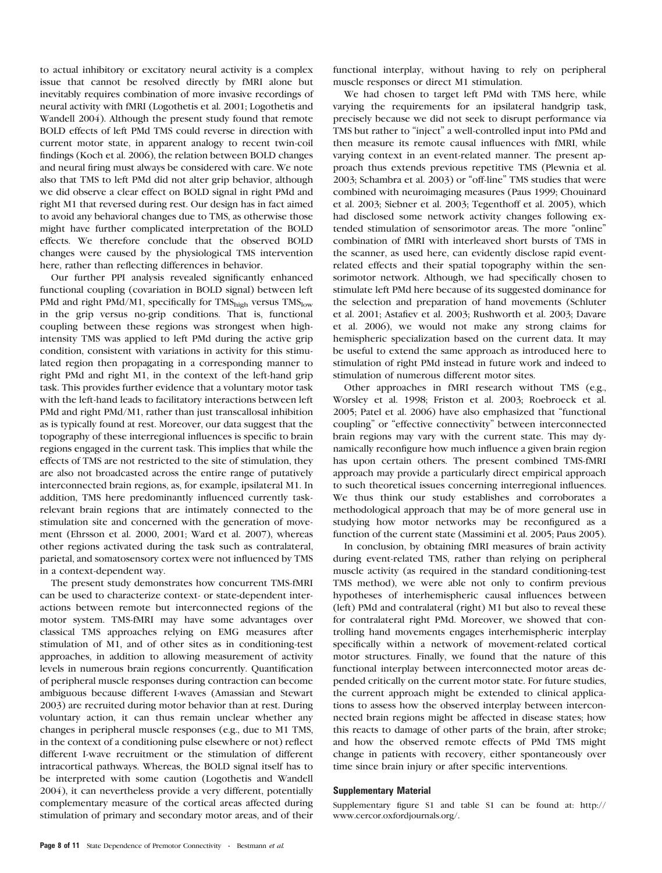to actual inhibitory or excitatory neural activity is a complex issue that cannot be resolved directly by fMRI alone but inevitably requires combination of more invasive recordings of neural activity with fMRI (Logothetis et al. 2001; Logothetis and Wandell 2004). Although the present study found that remote BOLD effects of left PMd TMS could reverse in direction with current motor state, in apparent analogy to recent twin-coil findings (Koch et al. 2006), the relation between BOLD changes and neural firing must always be considered with care. We note also that TMS to left PMd did not alter grip behavior, although we did observe a clear effect on BOLD signal in right PMd and right M1 that reversed during rest. Our design has in fact aimed to avoid any behavioral changes due to TMS, as otherwise those might have further complicated interpretation of the BOLD effects. We therefore conclude that the observed BOLD changes were caused by the physiological TMS intervention here, rather than reflecting differences in behavior.

Our further PPI analysis revealed significantly enhanced functional coupling (covariation in BOLD signal) between left PMd and right PMd/M1, specifically for TMS<sub>high</sub> versus TMS<sub>low</sub> in the grip versus no-grip conditions. That is, functional coupling between these regions was strongest when highintensity TMS was applied to left PMd during the active grip condition, consistent with variations in activity for this stimulated region then propagating in a corresponding manner to right PMd and right M1, in the context of the left-hand grip task. This provides further evidence that a voluntary motor task with the left-hand leads to facilitatory interactions between left PMd and right PMd/M1, rather than just transcallosal inhibition as is typically found at rest. Moreover, our data suggest that the topography of these interregional influences is specific to brain regions engaged in the current task. This implies that while the effects of TMS are not restricted to the site of stimulation, they are also not broadcasted across the entire range of putatively interconnected brain regions, as, for example, ipsilateral M1. In addition, TMS here predominantly influenced currently taskrelevant brain regions that are intimately connected to the stimulation site and concerned with the generation of movement (Ehrsson et al. 2000, 2001; Ward et al. 2007), whereas other regions activated during the task such as contralateral, parietal, and somatosensory cortex were not influenced by TMS in a context-dependent way.

The present study demonstrates how concurrent TMS-fMRI can be used to characterize context- or state*-*dependent interactions between remote but interconnected regions of the motor system. TMS-fMRI may have some advantages over classical TMS approaches relying on EMG measures after stimulation of M1, and of other sites as in conditioning-test approaches, in addition to allowing measurement of activity levels in numerous brain regions concurrently. Quantification of peripheral muscle responses during contraction can become ambiguous because different I-waves (Amassian and Stewart 2003) are recruited during motor behavior than at rest. During voluntary action, it can thus remain unclear whether any changes in peripheral muscle responses (e.g., due to M1 TMS, in the context of a conditioning pulse elsewhere or not) reflect different I-wave recruitment or the stimulation of different intracortical pathways. Whereas, the BOLD signal itself has to be interpreted with some caution (Logothetis and Wandell 2004), it can nevertheless provide a very different, potentially complementary measure of the cortical areas affected during stimulation of primary and secondary motor areas, and of their functional interplay, without having to rely on peripheral muscle responses or direct M1 stimulation.

We had chosen to target left PMd with TMS here, while varying the requirements for an ipsilateral handgrip task, precisely because we did not seek to disrupt performance via TMS but rather to ''inject'' a well-controlled input into PMd and then measure its remote causal influences with fMRI, while varying context in an event-related manner. The present approach thus extends previous repetitive TMS (Plewnia et al. 2003; Schambra et al. 2003) or ''off-line'' TMS studies that were combined with neuroimaging measures (Paus 1999; Chouinard et al. 2003; Siebner et al. 2003; Tegenthoff et al. 2005), which had disclosed some network activity changes following extended stimulation of sensorimotor areas. The more ''online'' combination of fMRI with interleaved short bursts of TMS in the scanner, as used here, can evidently disclose rapid eventrelated effects and their spatial topography within the sensorimotor network. Although, we had specifically chosen to stimulate left PMd here because of its suggested dominance for the selection and preparation of hand movements (Schluter et al. 2001; Astafiev et al. 2003; Rushworth et al. 2003; Davare et al. 2006), we would not make any strong claims for hemispheric specialization based on the current data. It may be useful to extend the same approach as introduced here to stimulation of right PMd instead in future work and indeed to stimulation of numerous different motor sites.

Other approaches in fMRI research without TMS (e.g., Worsley et al. 1998; Friston et al. 2003; Roebroeck et al. 2005; Patel et al. 2006) have also emphasized that ''functional coupling" or "effective connectivity" between interconnected brain regions may vary with the current state. This may dynamically reconfigure how much influence a given brain region has upon certain others. The present combined TMS-fMRI approach may provide a particularly direct empirical approach to such theoretical issues concerning interregional influences. We thus think our study establishes and corroborates a methodological approach that may be of more general use in studying how motor networks may be reconfigured as a function of the current state (Massimini et al. 2005; Paus 2005).

In conclusion, by obtaining fMRI measures of brain activity during event-related TMS, rather than relying on peripheral muscle activity (as required in the standard conditioning-test TMS method), we were able not only to confirm previous hypotheses of interhemispheric causal influences between (left) PMd and contralateral (right) M1 but also to reveal these for contralateral right PMd. Moreover, we showed that controlling hand movements engages interhemispheric interplay specifically within a network of movement-related cortical motor structures. Finally, we found that the nature of this functional interplay between interconnected motor areas depended critically on the current motor state. For future studies, the current approach might be extended to clinical applications to assess how the observed interplay between interconnected brain regions might be affected in disease states; how this reacts to damage of other parts of the brain, after stroke; and how the observed remote effects of PMd TMS might change in patients with recovery, either spontaneously over time since brain injury or after specific interventions.

## Supplementary Material

Supplementary figure S1 and table S1 can be found at: http:// www.cercor.oxfordjournals.org/.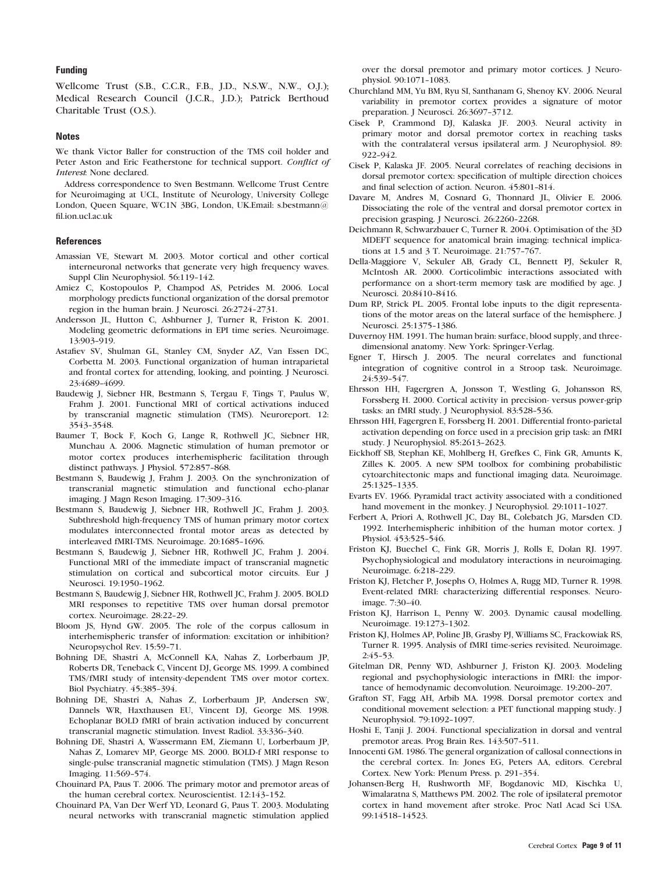## Funding

Wellcome Trust (S.B., C.C.R., F.B., J.D., N.S.W., N.W., O.J.); Medical Research Council (J.C.R., J.D.); Patrick Berthoud Charitable Trust (O.S.).

#### **Notes**

We thank Victor Baller for construction of the TMS coil holder and Peter Aston and Eric Featherstone for technical support. Conflict of Interest: None declared.

Address correspondence to Sven Bestmann. Wellcome Trust Centre for Neuroimaging at UCL, Institute of Neurology, University College London, Queen Square, WC1N 3BG, London, UK.Email: s.bestmann@ fil.ion.ucl.ac.uk

## **References**

- Amassian VE, Stewart M. 2003. Motor cortical and other cortical interneuronal networks that generate very high frequency waves. Suppl Clin Neurophysiol. 56:119-142.
- Amiez C, Kostopoulos P, Champod AS, Petrides M. 2006. Local morphology predicts functional organization of the dorsal premotor region in the human brain. J Neurosci. 26:2724-2731.
- Andersson JL, Hutton C, Ashburner J, Turner R, Friston K. 2001. Modeling geometric deformations in EPI time series. Neuroimage. 13:903-919.
- Astafiev SV, Shulman GL, Stanley CM, Snyder AZ, Van Essen DC, Corbetta M. 2003. Functional organization of human intraparietal and frontal cortex for attending, looking, and pointing. J Neurosci. 23:4689-4699.
- Baudewig J, Siebner HR, Bestmann S, Tergau F, Tings T, Paulus W, Frahm J. 2001. Functional MRI of cortical activations induced by transcranial magnetic stimulation (TMS). Neuroreport. 12: 3543--3548.
- Baumer T, Bock F, Koch G, Lange R, Rothwell JC, Siebner HR, Munchau A. 2006. Magnetic stimulation of human premotor or motor cortex produces interhemispheric facilitation through distinct pathways. J Physiol. 572:857-868.
- Bestmann S, Baudewig J, Frahm J. 2003. On the synchronization of transcranial magnetic stimulation and functional echo-planar imaging. J Magn Reson Imaging. 17:309-316.
- Bestmann S, Baudewig J, Siebner HR, Rothwell JC, Frahm J. 2003. Subthreshold high-frequency TMS of human primary motor cortex modulates interconnected frontal motor areas as detected by interleaved fMRI-TMS. Neuroimage. 20:1685-1696.
- Bestmann S, Baudewig J, Siebner HR, Rothwell JC, Frahm J. 2004. Functional MRI of the immediate impact of transcranial magnetic stimulation on cortical and subcortical motor circuits. Eur J Neurosci. 19:1950-1962.
- Bestmann S, Baudewig J, Siebner HR, Rothwell JC, Frahm J. 2005. BOLD MRI responses to repetitive TMS over human dorsal premotor cortex. Neuroimage. 28:22-29.
- Bloom JS, Hynd GW. 2005. The role of the corpus callosum in interhemispheric transfer of information: excitation or inhibition? Neuropsychol Rev. 15:59-71.
- Bohning DE, Shastri A, McConnell KA, Nahas Z, Lorberbaum JP, Roberts DR, Teneback C, Vincent DJ, George MS. 1999. A combined TMS/fMRI study of intensity-dependent TMS over motor cortex. Biol Psychiatry. 45:385-394.
- Bohning DE, Shastri A, Nahas Z, Lorberbaum JP, Andersen SW, Dannels WR, Haxthausen EU, Vincent DJ, George MS. 1998. Echoplanar BOLD fMRI of brain activation induced by concurrent transcranial magnetic stimulation. Invest Radiol. 33:336-340.
- Bohning DE, Shastri A, Wassermann EM, Ziemann U, Lorberbaum JP, Nahas Z, Lomarev MP, George MS. 2000. BOLD-f MRI response to single-pulse transcranial magnetic stimulation (TMS). J Magn Reson Imaging. 11:569-574.
- Chouinard PA, Paus T. 2006. The primary motor and premotor areas of the human cerebral cortex. Neuroscientist. 12:143-152.
- Chouinard PA, Van Der Werf YD, Leonard G, Paus T. 2003. Modulating neural networks with transcranial magnetic stimulation applied

over the dorsal premotor and primary motor cortices. J Neurophysiol. 90:1071-1083.

- Churchland MM, Yu BM, Ryu SI, Santhanam G, Shenoy KV. 2006. Neural variability in premotor cortex provides a signature of motor preparation. J Neurosci. 26:3697-3712.
- Cisek P, Crammond DJ, Kalaska JF. 2003. Neural activity in primary motor and dorsal premotor cortex in reaching tasks with the contralateral versus ipsilateral arm. J Neurophysiol. 89:  $922 - 942$ .
- Cisek P, Kalaska JF. 2005. Neural correlates of reaching decisions in dorsal premotor cortex: specification of multiple direction choices and final selection of action. Neuron. 45:801-814.
- Davare M, Andres M, Cosnard G, Thonnard JL, Olivier E. 2006. Dissociating the role of the ventral and dorsal premotor cortex in precision grasping. J Neurosci. 26:2260-2268.
- Deichmann R, Schwarzbauer C, Turner R. 2004. Optimisation of the 3D MDEFT sequence for anatomical brain imaging: technical implications at 1.5 and 3 T. Neuroimage. 21:757-767.
- Della-Maggiore V, Sekuler AB, Grady CL, Bennett PJ, Sekuler R, McIntosh AR. 2000. Corticolimbic interactions associated with performance on a short-term memory task are modified by age. J Neurosci. 20:8410-8416.
- Dum RP, Strick PL. 2005. Frontal lobe inputs to the digit representations of the motor areas on the lateral surface of the hemisphere. J Neurosci. 25:1375-1386.
- Duvernoy HM. 1991. The human brain: surface, blood supply, and threedimensional anatomy. New York: Springer-Verlag.
- Egner T, Hirsch J. 2005. The neural correlates and functional integration of cognitive control in a Stroop task. Neuroimage. 24:539-547.
- Ehrsson HH, Fagergren A, Jonsson T, Westling G, Johansson RS, Forssberg H. 2000. Cortical activity in precision- versus power-grip tasks: an fMRI study. J Neurophysiol. 83:528-536.
- Ehrsson HH, Fagergren E, Forssberg H. 2001. Differential fronto-parietal activation depending on force used in a precision grip task: an fMRI study. J Neurophysiol. 85:2613-2623.
- Eickhoff SB, Stephan KE, Mohlberg H, Grefkes C, Fink GR, Amunts K, Zilles K. 2005. A new SPM toolbox for combining probabilistic cytoarchitectonic maps and functional imaging data. Neuroimage. 25:1325--1335.
- Evarts EV. 1966. Pyramidal tract activity associated with a conditioned hand movement in the monkey. J Neurophysiol. 29:1011-1027.
- Ferbert A, Priori A, Rothwell JC, Day BL, Colebatch JG, Marsden CD. 1992. Interhemispheric inhibition of the human motor cortex. J Physiol. 453:525-546.
- Friston KJ, Buechel C, Fink GR, Morris J, Rolls E, Dolan RJ. 1997. Psychophysiological and modulatory interactions in neuroimaging. Neuroimage. 6:218-229.
- Friston KJ, Fletcher P, Josephs O, Holmes A, Rugg MD, Turner R. 1998. Event-related fMRI: characterizing differential responses. Neuroimage. 7:30-40.
- Friston KJ, Harrison L, Penny W. 2003. Dynamic causal modelling. Neuroimage. 19:1273--1302.
- Friston KJ, Holmes AP, Poline JB, Grasby PJ, Williams SC, Frackowiak RS, Turner R. 1995. Analysis of fMRI time-series revisited. Neuroimage.  $2:45-53.$
- Gitelman DR, Penny WD, Ashburner J, Friston KJ. 2003. Modeling regional and psychophysiologic interactions in fMRI: the importance of hemodynamic deconvolution. Neuroimage. 19:200-207.
- Grafton ST, Fagg AH, Arbib MA. 1998. Dorsal premotor cortex and conditional movement selection: a PET functional mapping study. J Neurophysiol. 79:1092-1097.
- Hoshi E, Tanji J. 2004. Functional specialization in dorsal and ventral premotor areas. Prog Brain Res. 143:507-511.
- Innocenti GM. 1986. The general organization of callosal connections in the cerebral cortex. In: Jones EG, Peters AA, editors. Cerebral Cortex. New York: Plenum Press. p. 291-354.
- Johansen-Berg H, Rushworth MF, Bogdanovic MD, Kischka U, Wimalaratna S, Matthews PM. 2002. The role of ipsilateral premotor cortex in hand movement after stroke. Proc Natl Acad Sci USA. 99:14518--14523.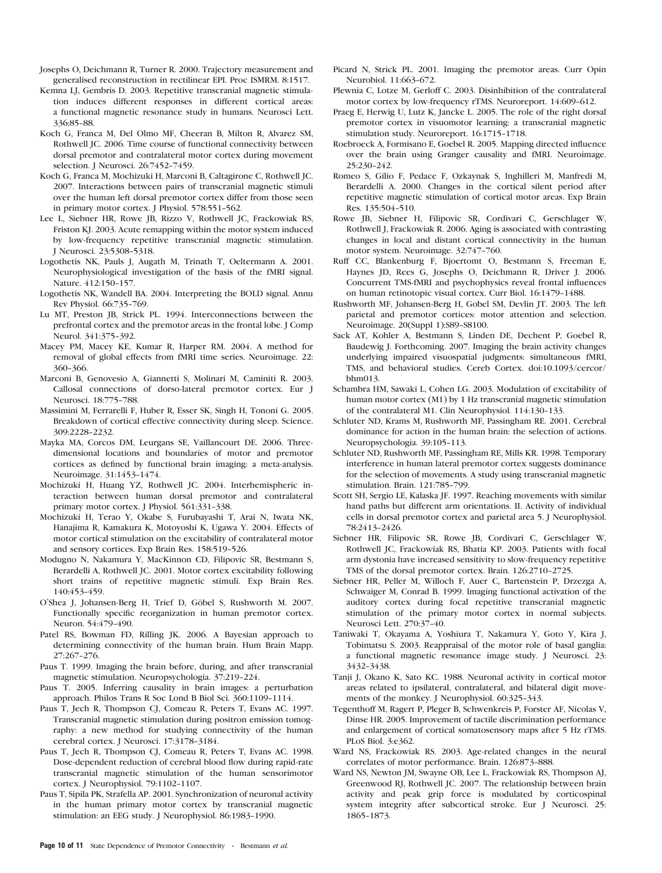- Josephs O, Deichmann R, Turner R. 2000. Trajectory measurement and generalised reconstruction in rectilinear EPI. Proc ISMRM. 8:1517.
- Kemna LJ, Gembris D. 2003. Repetitive transcranial magnetic stimulation induces different responses in different cortical areas: a functional magnetic resonance study in humans. Neurosci Lett. 336:85-88.
- Koch G, Franca M, Del Olmo MF, Cheeran B, Milton R, Alvarez SM, Rothwell JC. 2006. Time course of functional connectivity between dorsal premotor and contralateral motor cortex during movement selection. J Neurosci. 26:7452-7459.
- Koch G, Franca M, Mochizuki H, Marconi B, Caltagirone C, Rothwell JC. 2007. Interactions between pairs of transcranial magnetic stimuli over the human left dorsal premotor cortex differ from those seen in primary motor cortex. J Physiol. 578:551-562.
- Lee L, Siebner HR, Rowe JB, Rizzo V, Rothwell JC, Frackowiak RS, Friston KJ. 2003. Acute remapping within the motor system induced by low-frequency repetitive transcranial magnetic stimulation. J Neurosci. 23:5308-5318.
- Logothetis NK, Pauls J, Augath M, Trinath T, Oeltermann A. 2001. Neurophysiological investigation of the basis of the fMRI signal. Nature. 412:150-157.
- Logothetis NK, Wandell BA. 2004. Interpreting the BOLD signal. Annu Rev Physiol. 66:735--769.
- Lu MT, Preston JB, Strick PL. 1994. Interconnections between the prefrontal cortex and the premotor areas in the frontal lobe. J Comp Neurol. 341:375-392.
- Macey PM, Macey KE, Kumar R, Harper RM. 2004. A method for removal of global effects from fMRI time series. Neuroimage. 22: 360-366.
- Marconi B, Genovesio A, Giannetti S, Molinari M, Caminiti R. 2003. Callosal connections of dorso-lateral premotor cortex. Eur J Neurosci. 18:775--788.
- Massimini M, Ferrarelli F, Huber R, Esser SK, Singh H, Tononi G. 2005. Breakdown of cortical effective connectivity during sleep. Science. 309:2228--2232.
- Mayka MA, Corcos DM, Leurgans SE, Vaillancourt DE. 2006. Threedimensional locations and boundaries of motor and premotor cortices as defined by functional brain imaging: a meta-analysis. Neuroimage. 31:1453--1474.
- Mochizuki H, Huang YZ, Rothwell JC. 2004. Interhemispheric interaction between human dorsal premotor and contralateral primary motor cortex. J Physiol. 561:331-338.
- Mochizuki H, Terao Y, Okabe S, Furubayashi T, Arai N, Iwata NK, Hanajima R, Kamakura K, Motoyoshi K, Ugawa Y. 2004. Effects of motor cortical stimulation on the excitability of contralateral motor and sensory cortices. Exp Brain Res. 158:519-526.
- Modugno N, Nakamura Y, MacKinnon CD, Filipovic SR, Bestmann S, Berardelli A, Rothwell JC. 2001. Motor cortex excitability following short trains of repetitive magnetic stimuli. Exp Brain Res. 140:453-459
- O'Shea J, Johansen-Berg H, Trief D, Göbel S, Rushworth M. 2007. Functionally specific reorganization in human premotor cortex. Neuron. 54:479-490.
- Patel RS, Bowman FD, Rilling JK. 2006. A Bayesian approach to determining connectivity of the human brain. Hum Brain Mapp. 27:267--276.
- Paus T. 1999. Imaging the brain before, during, and after transcranial magnetic stimulation. Neuropsychologia. 37:219-224.
- Paus T. 2005. Inferring causality in brain images: a perturbation approach. Philos Trans R Soc Lond B Biol Sci. 360:1109-1114.
- Paus T, Jech R, Thompson CJ, Comeau R, Peters T, Evans AC. 1997. Transcranial magnetic stimulation during positron emission tomography: a new method for studying connectivity of the human cerebral cortex. J Neurosci. 17:3178-3184.
- Paus T, Jech R, Thompson CJ, Comeau R, Peters T, Evans AC. 1998. Dose-dependent reduction of cerebral blood flow during rapid-rate transcranial magnetic stimulation of the human sensorimotor cortex. J Neurophysiol. 79:1102-1107.
- Paus T, Sipila PK, Strafella AP. 2001. Synchronization of neuronal activity in the human primary motor cortex by transcranial magnetic stimulation: an EEG study. J Neurophysiol. 86:1983-1990.
- Picard N, Strick PL. 2001. Imaging the premotor areas. Curr Opin Neurobiol. 11:663-672.
- Plewnia C, Lotze M, Gerloff C. 2003. Disinhibition of the contralateral motor cortex by low-frequency rTMS. Neuroreport. 14:609-612.
- Praeg E, Herwig U, Lutz K, Jancke L. 2005. The role of the right dorsal premotor cortex in visuomotor learning: a transcranial magnetic stimulation study. Neuroreport. 16:1715-1718.
- Roebroeck A, Formisano E, Goebel R. 2005. Mapping directed influence over the brain using Granger causality and fMRI. Neuroimage. 25:230-242.
- Romeo S, Gilio F, Pedace F, Ozkaynak S, Inghilleri M, Manfredi M, Berardelli A. 2000. Changes in the cortical silent period after repetitive magnetic stimulation of cortical motor areas. Exp Brain Res. 135:504-510.
- Rowe JB, Siebner H, Filipovic SR, Cordivari C, Gerschlager W, Rothwell J, Frackowiak R. 2006. Aging is associated with contrasting changes in local and distant cortical connectivity in the human motor system. Neuroimage. 32:747--760.
- Ruff CC, Blankenburg F, Bjoertomt O, Bestmann S, Freeman E, Haynes JD, Rees G, Josephs O, Deichmann R, Driver J. 2006. Concurrent TMS-fMRI and psychophysics reveal frontal influences on human retinotopic visual cortex. Curr Biol. 16:1479-1488.
- Rushworth MF, Johansen-Berg H, Gobel SM, Devlin JT. 2003. The left parietal and premotor cortices: motor attention and selection. Neuroimage. 20(Suppl 1):S89-S8100.
- Sack AT, Kohler A, Bestmann S, Linden DE, Dechent P, Goebel R, Baudewig J. Forthcoming. 2007. Imaging the brain activity changes underlying impaired visuospatial judgments: simultaneous fMRI, TMS, and behavioral studies. Cereb Cortex. doi:10.1093/cercor/ bhm013.
- Schambra HM, Sawaki L, Cohen LG. 2003. Modulation of excitability of human motor cortex (M1) by 1 Hz transcranial magnetic stimulation of the contralateral M1. Clin Neurophysiol. 114:130-133.
- Schluter ND, Krams M, Rushworth MF, Passingham RE. 2001. Cerebral dominance for action in the human brain: the selection of actions. Neuropsychologia. 39:105-113.
- Schluter ND, Rushworth MF, Passingham RE, Mills KR. 1998. Temporary interference in human lateral premotor cortex suggests dominance for the selection of movements. A study using transcranial magnetic stimulation. Brain. 121:785-799.
- Scott SH, Sergio LE, Kalaska JF. 1997. Reaching movements with similar hand paths but different arm orientations. II. Activity of individual cells in dorsal premotor cortex and parietal area 5. J Neurophysiol. 78:2413-2426.
- Siebner HR, Filipovic SR, Rowe JB, Cordivari C, Gerschlager W, Rothwell JC, Frackowiak RS, Bhatia KP. 2003. Patients with focal arm dystonia have increased sensitivity to slow-frequency repetitive TMS of the dorsal premotor cortex. Brain. 126:2710-2725.
- Siebner HR, Peller M, Willoch F, Auer C, Bartenstein P, Drzezga A, Schwaiger M, Conrad B. 1999. Imaging functional activation of the auditory cortex during focal repetitive transcranial magnetic stimulation of the primary motor cortex in normal subjects. Neurosci Lett. 270:37-40.
- Taniwaki T, Okayama A, Yoshiura T, Nakamura Y, Goto Y, Kira J, Tobimatsu S. 2003. Reappraisal of the motor role of basal ganglia: a functional magnetic resonance image study. J Neurosci. 23: 3432-3438.
- Tanji J, Okano K, Sato KC. 1988. Neuronal activity in cortical motor areas related to ipsilateral, contralateral, and bilateral digit movements of the monkey. J Neurophysiol. 60:325-343.
- Tegenthoff M, Ragert P, Pleger B, Schwenkreis P, Forster AF, Nicolas V, Dinse HR. 2005. Improvement of tactile discrimination performance and enlargement of cortical somatosensory maps after 5 Hz rTMS. PLoS Biol. 3:e362.
- Ward NS, Frackowiak RS. 2003. Age-related changes in the neural correlates of motor performance. Brain. 126:873-888.
- Ward NS, Newton JM, Swayne OB, Lee L, Frackowiak RS, Thompson AJ, Greenwood RJ, Rothwell JC. 2007. The relationship between brain activity and peak grip force is modulated by corticospinal system integrity after subcortical stroke. Eur J Neurosci. 25: 1865-1873.